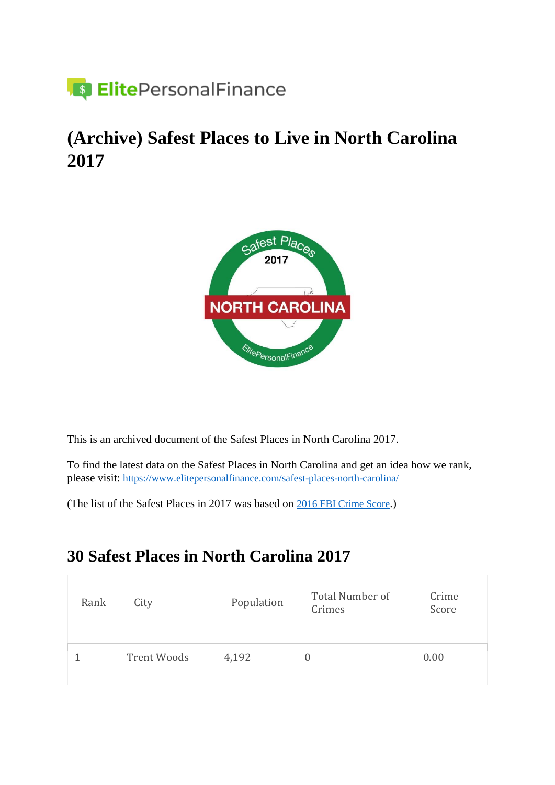

### **(Archive) Safest Places to Live in North Carolina 2017**



This is an archived document of the Safest Places in North Carolina 2017.

To find the latest data on the Safest Places in North Carolina and get an idea how we rank, please visit: <https://www.elitepersonalfinance.com/safest-places-north-carolina/>

(The list of the Safest Places in 2017 was based on [2016 FBI Crime Score](https://ucr.fbi.gov/crime-in-the-u.s/2016/crime-in-the-u.s.-2016).)

#### **30 Safest Places in North Carolina 2017**

| Rank | City               | Population | Total Number of<br>Crimes | Crime<br>Score |
|------|--------------------|------------|---------------------------|----------------|
|      | <b>Trent Woods</b> | 4,192      | $\cup$                    | 0.00           |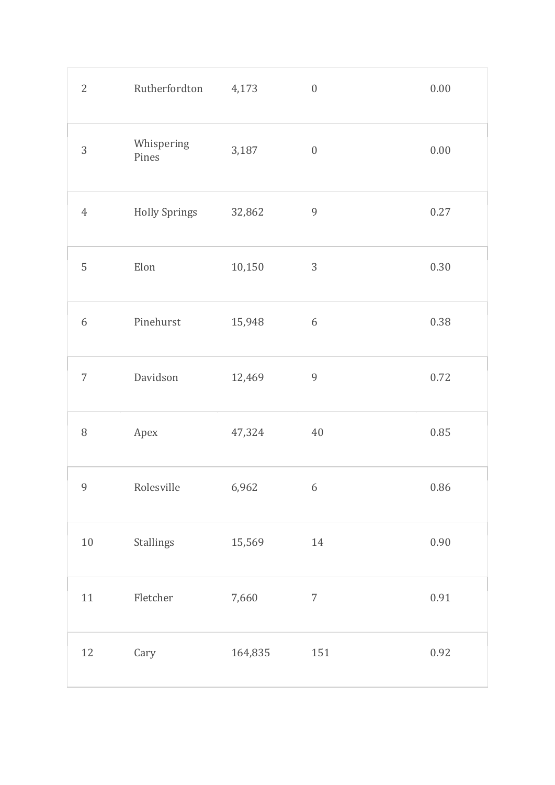| $\overline{2}$   | Rutherfordton         | 4,173   | $\boldsymbol{0}$ | $0.00\,$ |
|------------------|-----------------------|---------|------------------|----------|
| 3                | Whispering<br>Pines   | 3,187   | $\boldsymbol{0}$ | 0.00     |
| $\ensuremath{4}$ | <b>Holly Springs</b>  | 32,862  | $\overline{9}$   | 0.27     |
| 5                | $\operatorname{Elon}$ | 10,150  | $\sqrt{3}$       | 0.30     |
| 6                | Pinehurst             | 15,948  | $6\,$            | 0.38     |
| $\overline{7}$   | Davidson              | 12,469  | $\overline{9}$   | 0.72     |
| $\, 8$           | Apex                  | 47,324  | 40               | 0.85     |
| 9                | Rolesville            | 6,962   | $\overline{6}$   | 0.86     |
| $10\,$           | Stallings             | 15,569  | 14               | 0.90     |
| 11               | ${\rm Fletcher}$      | 7,660   | $\boldsymbol{7}$ | 0.91     |
| 12               | Cary                  | 164,835 | 151              | 0.92     |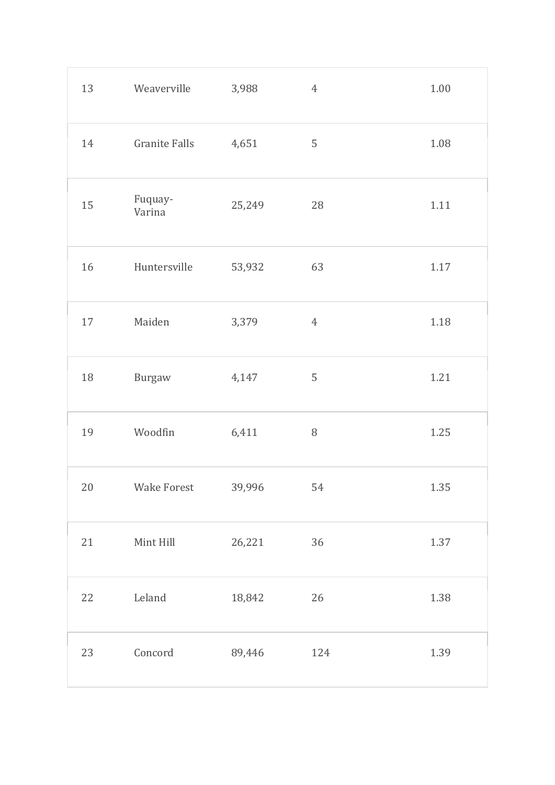| 13     | Weaverville          | 3,988  | $\boldsymbol{4}$ | $1.00\,$ |
|--------|----------------------|--------|------------------|----------|
| 14     | <b>Granite Falls</b> | 4,651  | 5                | 1.08     |
| 15     | Fuquay-<br>Varina    | 25,249 | 28               | $1.11$   |
| 16     | Huntersville         | 53,932 | 63               | 1.17     |
| $17\,$ | Maiden               | 3,379  | $\overline{4}$   | 1.18     |
| $18\,$ | Burgaw               | 4,147  | $\sqrt{5}$       | 1.21     |
| 19     | Woodfin              | 6,411  | $\, 8$           | 1.25     |
| 20     | Wake Forest 39,996   |        | 54               | 1.35     |
| 21     | Mint Hill            | 26,221 | 36               | 1.37     |
| 22     | Leland               | 18,842 | 26               | 1.38     |
| 23     | Concord              | 89,446 | 124              | 1.39     |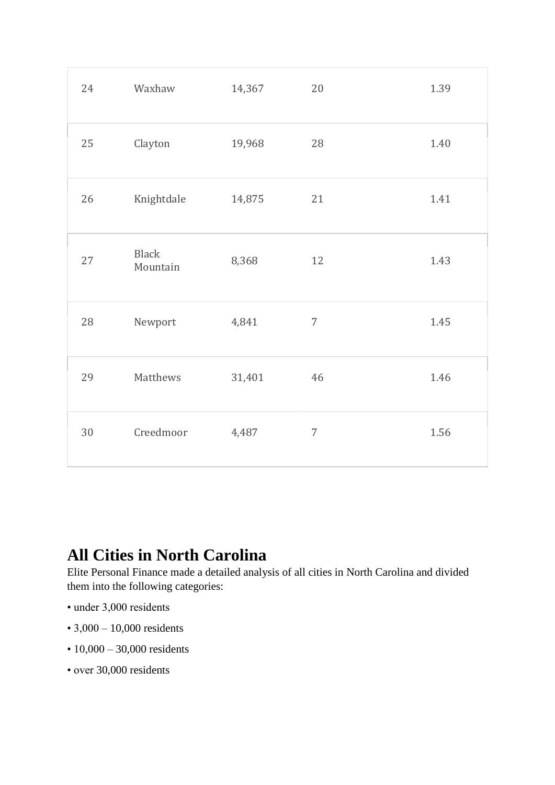| 24 | Waxhaw                   | 14,367 | 20             | 1.39 |
|----|--------------------------|--------|----------------|------|
| 25 | Clayton                  | 19,968 | 28             | 1.40 |
| 26 | Knightdale               | 14,875 | 21             | 1.41 |
| 27 | <b>Black</b><br>Mountain | 8,368  | 12             | 1.43 |
| 28 | Newport                  | 4,841  | $\overline{7}$ | 1.45 |
| 29 | Matthews                 | 31,401 | 46             | 1.46 |
| 30 | Creedmoor                | 4,487  | $\overline{7}$ | 1.56 |

#### **All Cities in North Carolina**

Elite Personal Finance made a detailed analysis of all cities in North Carolina and divided them into the following categories:

- under 3,000 residents
- 3,000 10,000 residents
- 10,000 30,000 residents
- over 30,000 residents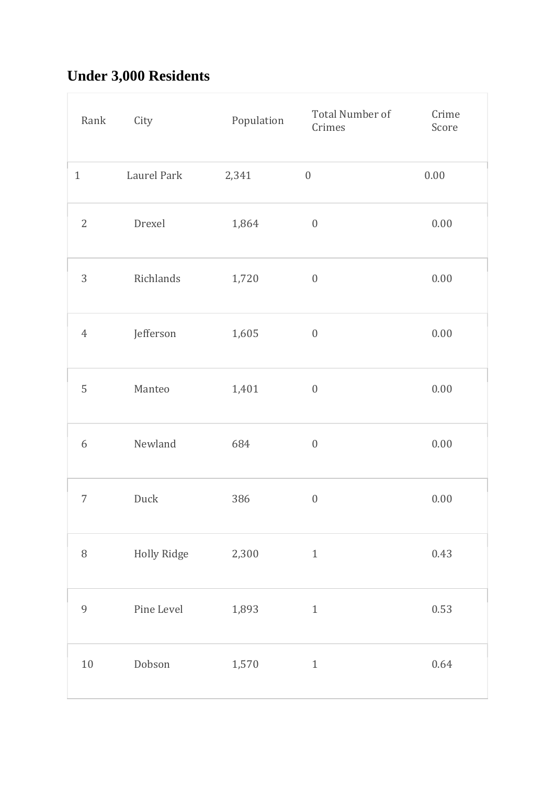# **Under 3,000 Residents**

| Rank             | City        | Population | Total Number of<br>Crimes | Crime<br>Score |
|------------------|-------------|------------|---------------------------|----------------|
| $\mathbf{1}$     | Laurel Park | 2,341      | $\boldsymbol{0}$          | $0.00\,$       |
| $\sqrt{2}$       | Drexel      | 1,864      | $\boldsymbol{0}$          | $0.00\,$       |
| 3                | Richlands   | 1,720      | $\boldsymbol{0}$          | $0.00\,$       |
| $\ensuremath{4}$ | Jefferson   | 1,605      | $\boldsymbol{0}$          | 0.00           |
| 5                | Manteo      | 1,401      | $\boldsymbol{0}$          | 0.00           |
| 6                | Newland     | 684        | $\boldsymbol{0}$          | 0.00           |
| $\overline{7}$   | Duck        | 386        | $\boldsymbol{0}$          | $0.00\,$       |
| $\, 8$           | Holly Ridge | 2,300      | $\,1\,$                   | 0.43           |
| 9                | Pine Level  | 1,893      | $\,1\,$                   | 0.53           |
| $10\,$           | Dobson      | 1,570      | $\,1$                     | 0.64           |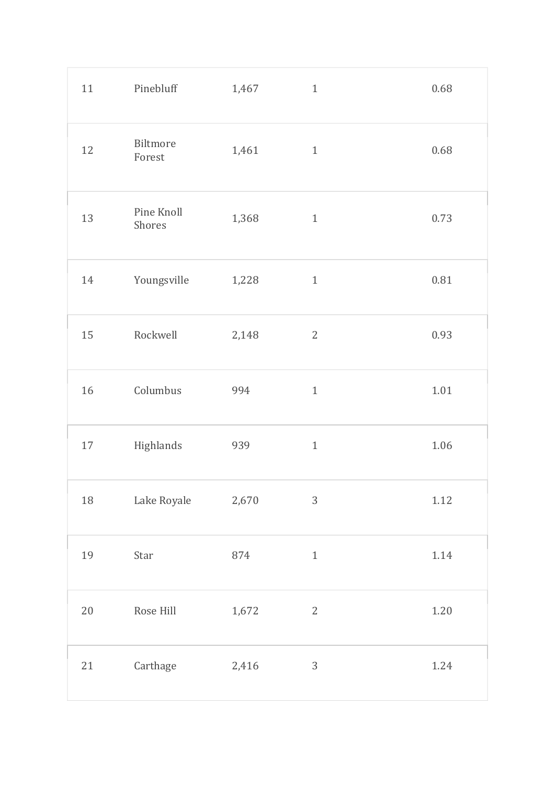| 11     | Pinebluff            | 1,467 | $\mathbf{1}$ | 0.68     |
|--------|----------------------|-------|--------------|----------|
| 12     | Biltmore<br>Forest   | 1,461 | $\mathbf{1}$ | 0.68     |
| 13     | Pine Knoll<br>Shores | 1,368 | $\mathbf{1}$ | 0.73     |
| 14     | Youngsville          | 1,228 | $\mathbf{1}$ | 0.81     |
| 15     | Rockwell             | 2,148 | $\mathbf{2}$ | 0.93     |
| 16     | Columbus             | 994   | $\mathbf{1}$ | $1.01\,$ |
| $17\,$ | Highlands            | 939   | $\mathbf{1}$ | 1.06     |
| 18     | Lake Royale          | 2,670 | $\sqrt{3}$   | $1.12\,$ |
| 19     | Star                 | 874   | $\,1\,$      | $1.14\,$ |
| $20\,$ | Rose Hill            | 1,672 | $\mathbf{2}$ | $1.20\,$ |
| $21\,$ | Carthage             | 2,416 | $\sqrt{3}$   | 1.24     |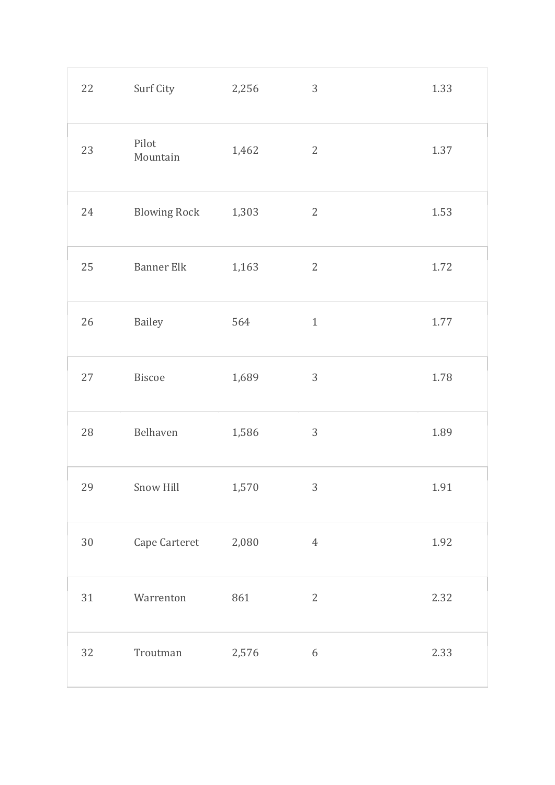| 22     | Surf City           | 2,256 | $\sqrt{3}$       | 1.33 |
|--------|---------------------|-------|------------------|------|
| 23     | Pilot<br>Mountain   | 1,462 | $\sqrt{2}$       | 1.37 |
| 24     | <b>Blowing Rock</b> | 1,303 | $\sqrt{2}$       | 1.53 |
| 25     | <b>Banner Elk</b>   | 1,163 | $\sqrt{2}$       | 1.72 |
| $26\,$ | Bailey              | 564   | $1\,$            | 1.77 |
| 27     | Biscoe              | 1,689 | $\mathfrak{Z}$   | 1.78 |
| 28     | Belhaven            | 1,586 | $\sqrt{3}$       | 1.89 |
| 29     | Snow Hill           | 1,570 | 3                | 1.91 |
| $30\,$ | Cape Carteret 2,080 |       | $\sqrt{4}$       | 1.92 |
| 31     | Warrenton           | 861   | $\sqrt{2}$       | 2.32 |
| 32     | Troutman            | 2,576 | $\boldsymbol{6}$ | 2.33 |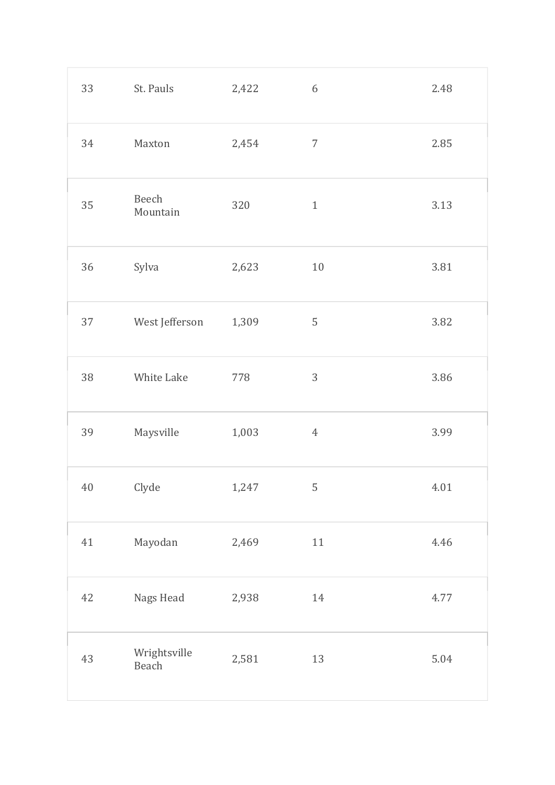| 33     | St. Pauls             | 2,422 | $\boldsymbol{6}$ | 2.48 |
|--------|-----------------------|-------|------------------|------|
| 34     | Maxton                | 2,454 | $\overline{7}$   | 2.85 |
| 35     | Beech<br>Mountain     | 320   | $\mathbf{1}$     | 3.13 |
| $36\,$ | Sylva                 | 2,623 | $10\,$           | 3.81 |
| 37     | West Jefferson        | 1,309 | $\mathsf S$      | 3.82 |
| 38     | White Lake            | 778   | 3                | 3.86 |
| 39     | Maysville             | 1,003 | $\boldsymbol{4}$ | 3.99 |
| 40     | Clyde                 | 1,247 | 5                | 4.01 |
| 41     | Mayodan               | 2,469 | $11\,$           | 4.46 |
| 42     | Nags Head             | 2,938 | 14               | 4.77 |
| 43     | Wrightsville<br>Beach | 2,581 | 13               | 5.04 |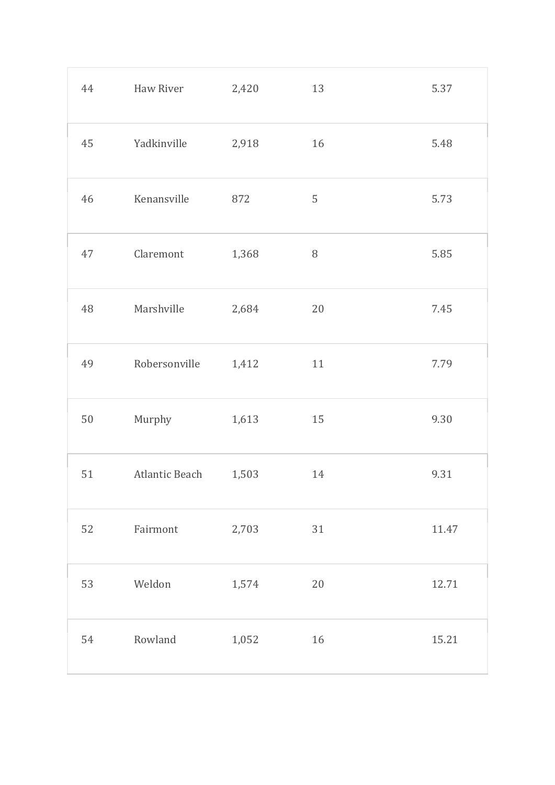| 44     | Haw River      | 2,420 | 13     | 5.37  |
|--------|----------------|-------|--------|-------|
| 45     | Yadkinville    | 2,918 | 16     | 5.48  |
| 46     | Kenansville    | 872   | 5      | 5.73  |
| 47     | Claremont      | 1,368 | $\, 8$ | 5.85  |
| 48     | Marshville     | 2,684 | 20     | 7.45  |
| 49     | Robersonville  | 1,412 | 11     | 7.79  |
| $50\,$ | Murphy         | 1,613 | 15     | 9.30  |
| 51     | Atlantic Beach | 1,503 | 14     | 9.31  |
| 52     | Fairmont       | 2,703 | 31     | 11.47 |
| 53     | Weldon         | 1,574 | 20     | 12.71 |
| 54     | Rowland        | 1,052 | 16     | 15.21 |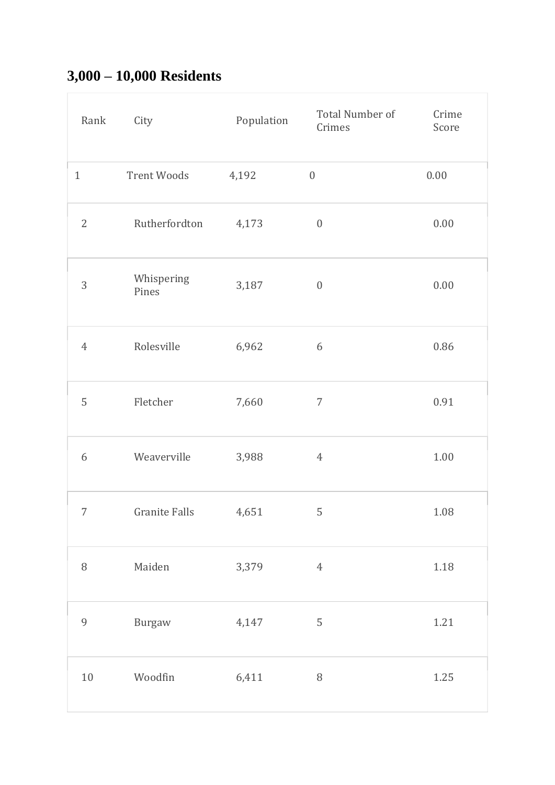### **3,000 – 10,000 Residents**

| Rank           | City                 | Population | Total Number of<br>Crimes | Crime<br>Score |
|----------------|----------------------|------------|---------------------------|----------------|
| $\mathbf{1}$   | Trent Woods          | 4,192      | $\boldsymbol{0}$          | 0.00           |
| $\overline{2}$ | Rutherfordton        | 4,173      | $\boldsymbol{0}$          | $0.00\,$       |
| 3              | Whispering<br>Pines  | 3,187      | $\boldsymbol{0}$          | 0.00           |
| $\overline{4}$ | Rolesville           | 6,962      | 6                         | 0.86           |
| 5              | Fletcher             | 7,660      | $\overline{7}$            | 0.91           |
| 6              | Weaverville          | 3,988      | $\overline{4}$            | $1.00\,$       |
| 7              | <b>Granite Falls</b> | 4,651      | 5                         | 1.08           |
| $\, 8$         | Maiden               | 3,379      | $\ensuremath{4}$          | 1.18           |
| $\overline{9}$ | Burgaw               | 4,147      | 5                         | 1.21           |
| $10\,$         | Woodfin              | 6,411      | $\, 8$                    | 1.25           |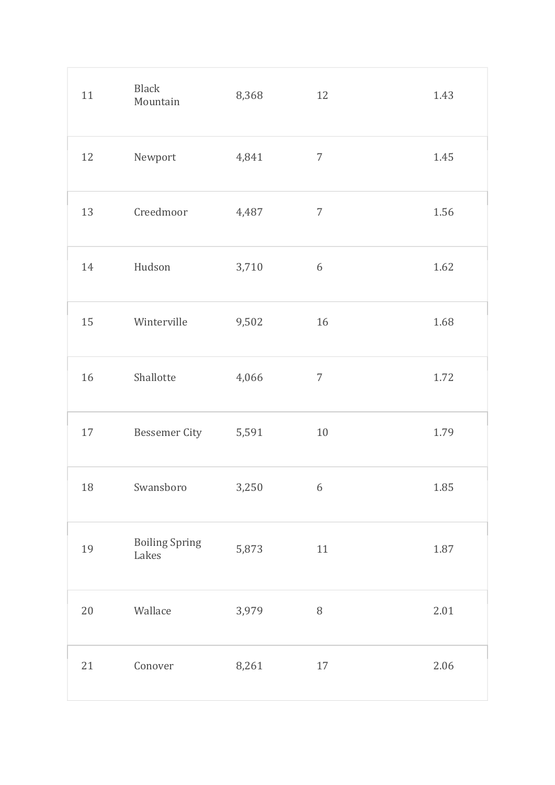| 11     | <b>Black</b><br>Mountain       | 8,368 | 12             | 1.43 |
|--------|--------------------------------|-------|----------------|------|
| 12     | Newport                        | 4,841 | $\overline{7}$ | 1.45 |
| 13     | Creedmoor                      | 4,487 | $\overline{7}$ | 1.56 |
| 14     | Hudson                         | 3,710 | $6\,$          | 1.62 |
| 15     | Winterville                    | 9,502 | 16             | 1.68 |
| 16     | Shallotte                      | 4,066 | $\overline{7}$ | 1.72 |
| $17\,$ | Bessemer City                  | 5,591 | 10             | 1.79 |
| 18     | Swansboro                      | 3,250 | $\overline{6}$ | 1.85 |
| 19     | <b>Boiling Spring</b><br>Lakes | 5,873 | $11\,$         | 1.87 |
| $20\,$ | Wallace                        | 3,979 | $\, 8$         | 2.01 |
| 21     | Conover                        | 8,261 | 17             | 2.06 |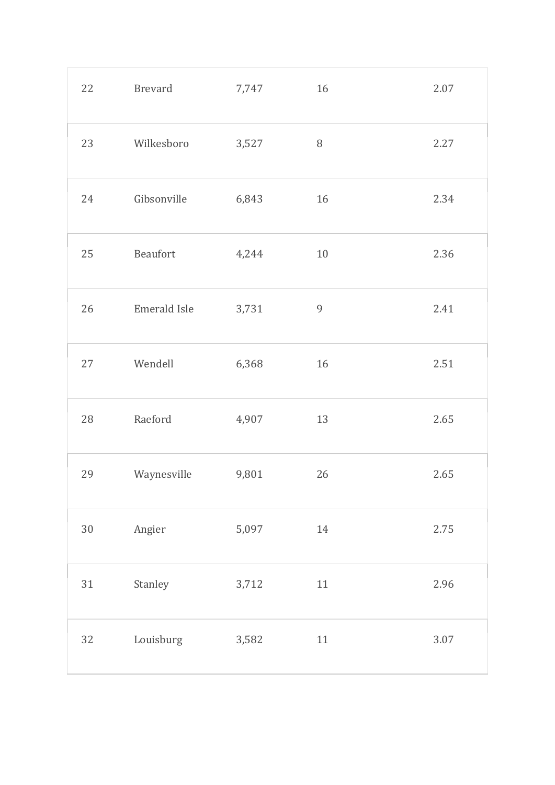| 22     | Brevard      | 7,747 | 16             | 2.07     |
|--------|--------------|-------|----------------|----------|
| 23     | Wilkesboro   | 3,527 | $\, 8$         | 2.27     |
| 24     | Gibsonville  | 6,843 | $16\,$         | 2.34     |
| 25     | Beaufort     | 4,244 | 10             | 2.36     |
| 26     | Emerald Isle | 3,731 | $\overline{9}$ | 2.41     |
| 27     | Wendell      | 6,368 | 16             | 2.51     |
| 28     | Raeford      | 4,907 | 13             | 2.65     |
| 29     | Waynesville  | 9,801 | 26             | 2.65     |
| $30\,$ | Angier       | 5,097 | 14             | 2.75     |
| $31\,$ | Stanley      | 3,712 | $11\,$         | 2.96     |
| 32     | Louisburg    | 3,582 | $11\,$         | $3.07\,$ |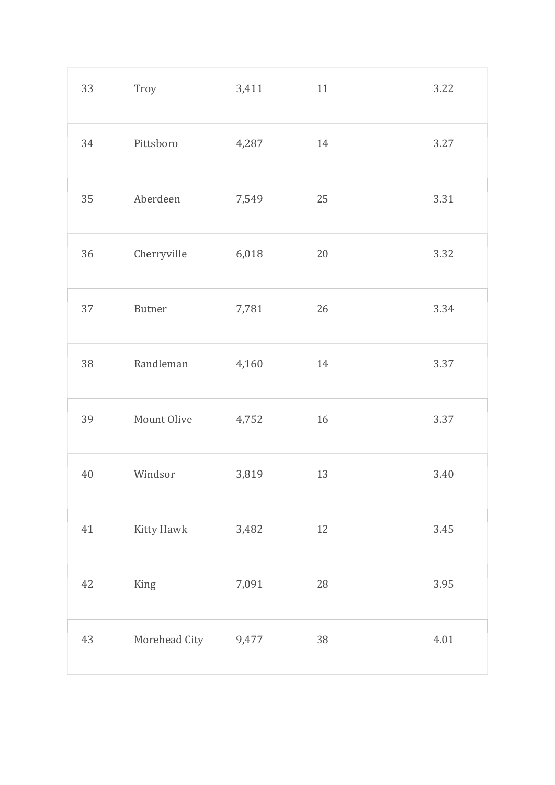| 33 | Troy          | 3,411 | 11 | 3.22 |
|----|---------------|-------|----|------|
| 34 | Pittsboro     | 4,287 | 14 | 3.27 |
| 35 | Aberdeen      | 7,549 | 25 | 3.31 |
| 36 | Cherryville   | 6,018 | 20 | 3.32 |
| 37 | <b>Butner</b> | 7,781 | 26 | 3.34 |
| 38 | Randleman     | 4,160 | 14 | 3.37 |
| 39 | Mount Olive   | 4,752 | 16 | 3.37 |
| 40 | Windsor       | 3,819 | 13 | 3.40 |
| 41 | Kitty Hawk    | 3,482 | 12 | 3.45 |
| 42 | King          | 7,091 | 28 | 3.95 |
| 43 | Morehead City | 9,477 | 38 | 4.01 |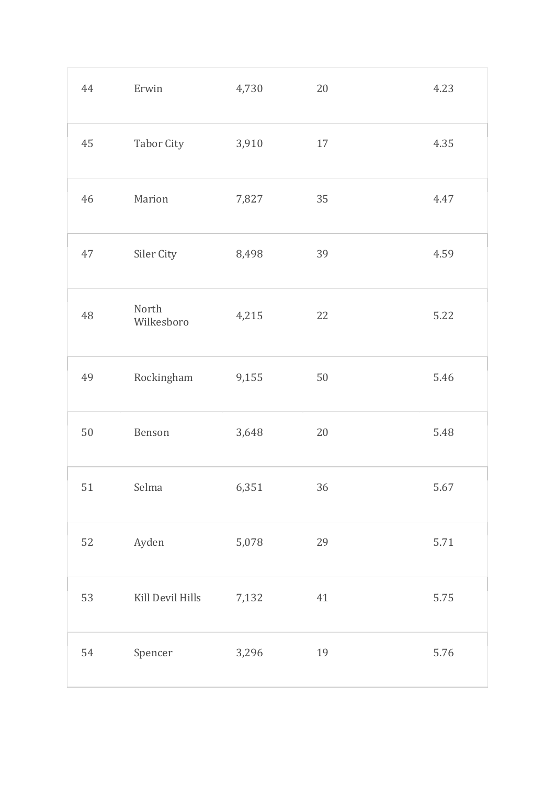| 44 | Erwin               | 4,730 | 20     | 4.23 |
|----|---------------------|-------|--------|------|
| 45 | Tabor City          | 3,910 | 17     | 4.35 |
| 46 | Marion              | 7,827 | 35     | 4.47 |
| 47 | Siler City          | 8,498 | 39     | 4.59 |
| 48 | North<br>Wilkesboro | 4,215 | 22     | 5.22 |
| 49 | Rockingham          | 9,155 | $50\,$ | 5.46 |
| 50 | Benson              | 3,648 | 20     | 5.48 |
| 51 | Selma               | 6,351 | 36     | 5.67 |
| 52 | Ayden               | 5,078 | 29     | 5.71 |
| 53 | Kill Devil Hills    | 7,132 | $41\,$ | 5.75 |
| 54 | Spencer             | 3,296 | 19     | 5.76 |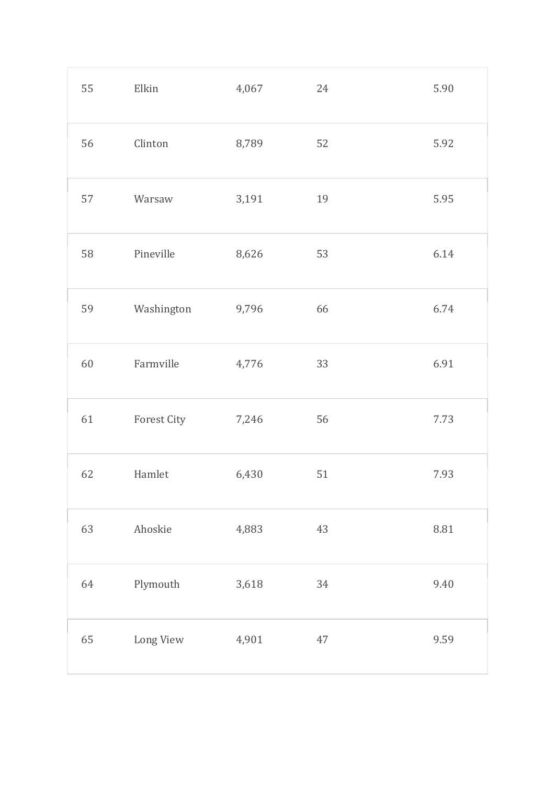| 55 | Elkin       | 4,067 | 24 | 5.90 |
|----|-------------|-------|----|------|
| 56 | Clinton     | 8,789 | 52 | 5.92 |
| 57 | Warsaw      | 3,191 | 19 | 5.95 |
| 58 | Pineville   | 8,626 | 53 | 6.14 |
| 59 | Washington  | 9,796 | 66 | 6.74 |
| 60 | Farmville   | 4,776 | 33 | 6.91 |
| 61 | Forest City | 7,246 | 56 | 7.73 |
| 62 | Hamlet      | 6,430 | 51 | 7.93 |
| 63 | Ahoskie     | 4,883 | 43 | 8.81 |
| 64 | Plymouth    | 3,618 | 34 | 9.40 |
| 65 | Long View   | 4,901 | 47 | 9.59 |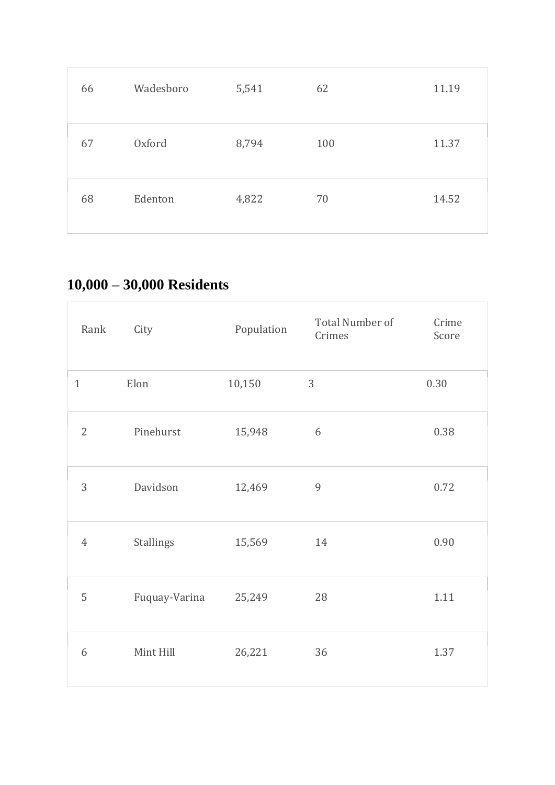| 66 | Wadesboro | 5,541 | 62  | 11.19 |
|----|-----------|-------|-----|-------|
| 67 | Oxford    | 8,794 | 100 | 11.37 |
| 68 | Edenton   | 4,822 | 70  | 14.52 |

# **10,000 – 30,000 Residents**

| Rank           | City             | Population | Total Number of<br>Crimes | Crime<br>Score |
|----------------|------------------|------------|---------------------------|----------------|
| $\mathbf{1}$   | Elon             | 10,150     | 3                         | 0.30           |
| $\overline{2}$ | Pinehurst        | 15,948     | $6\,$                     | 0.38           |
| 3              | Davidson         | 12,469     | $\overline{9}$            | 0.72           |
| $\overline{4}$ | <b>Stallings</b> | 15,569     | 14                        | 0.90           |
| 5              | Fuquay-Varina    | 25,249     | 28                        | 1.11           |
| 6              | Mint Hill        | 26,221     | 36                        | 1.37           |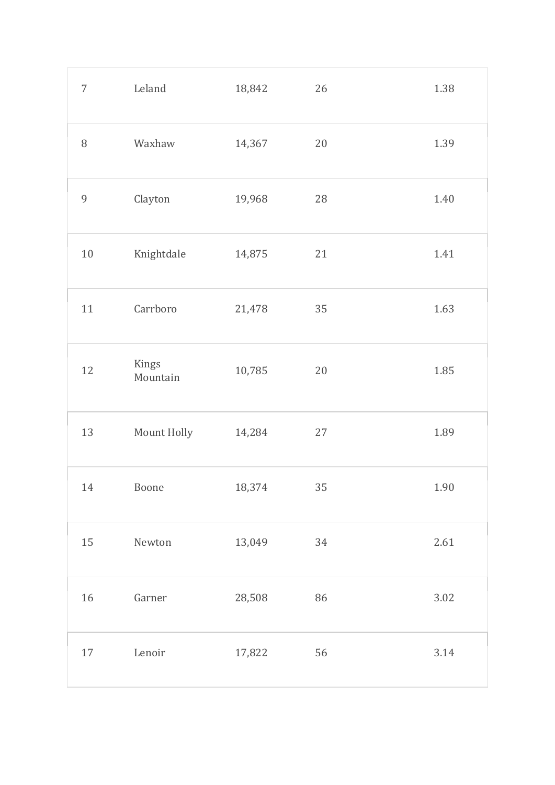| $\overline{7}$ | Leland            | 18,842 | 26     | 1.38     |
|----------------|-------------------|--------|--------|----------|
| $\, 8$         | Waxhaw            | 14,367 | 20     | 1.39     |
| 9              | Clayton           | 19,968 | 28     | 1.40     |
| $10\,$         | Knightdale        | 14,875 | 21     | 1.41     |
| 11             | Carrboro          | 21,478 | 35     | 1.63     |
| 12             | Kings<br>Mountain | 10,785 | 20     | 1.85     |
| 13             | Mount Holly       | 14,284 | 27     | 1.89     |
| 14             | Boone             | 18,374 | $35\,$ | 1.90     |
| 15             | Newton            | 13,049 | 34     | 2.61     |
| $16\,$         | Garner            | 28,508 | 86     | $3.02\,$ |
| 17             | Lenoir            | 17,822 | 56     | $3.14\,$ |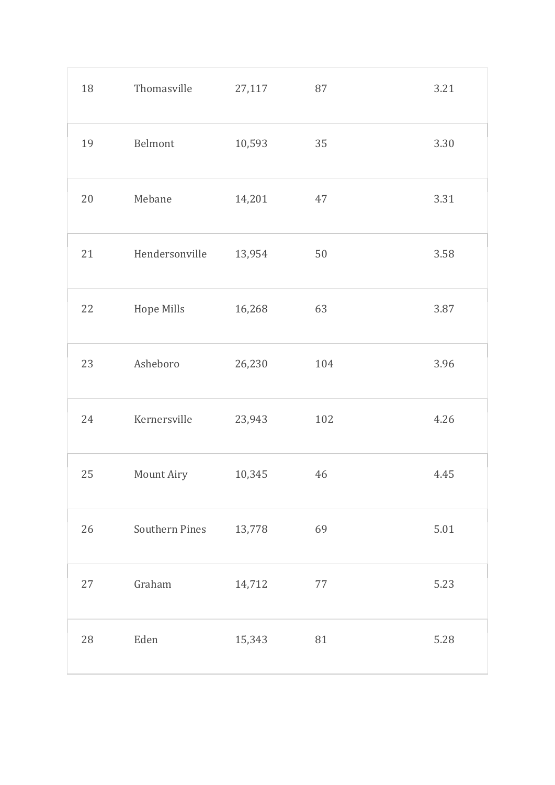| 18 | Thomasville    | 27,117 | 87  | 3.21   |
|----|----------------|--------|-----|--------|
| 19 | Belmont        | 10,593 | 35  | 3.30   |
| 20 | Mebane         | 14,201 | 47  | 3.31   |
| 21 | Hendersonville | 13,954 | 50  | 3.58   |
| 22 | Hope Mills     | 16,268 | 63  | 3.87   |
| 23 | Asheboro       | 26,230 | 104 | 3.96   |
| 24 | Kernersville   | 23,943 | 102 | 4.26   |
| 25 | Mount Airy     | 10,345 | 46  | 4.45   |
| 26 | Southern Pines | 13,778 | 69  | $5.01$ |
| 27 | Graham         | 14,712 | 77  | 5.23   |
| 28 | Eden           | 15,343 | 81  | 5.28   |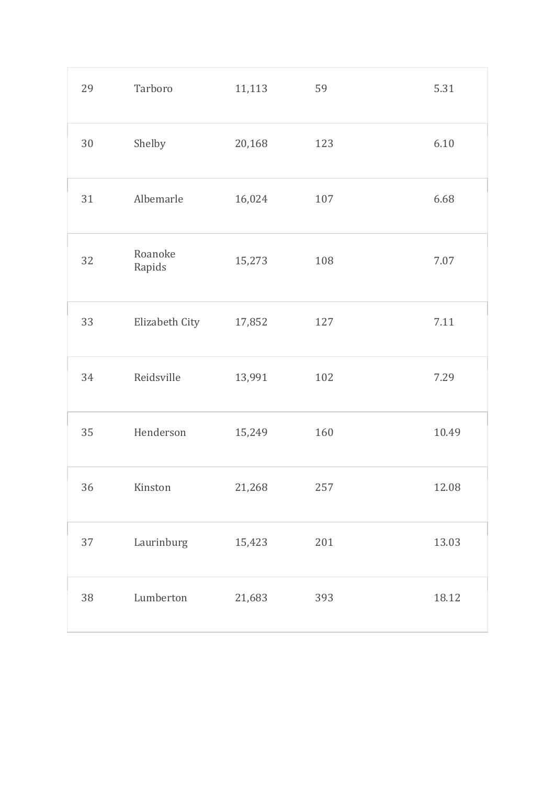| 29     | Tarboro           | 11,113 | 59  | 5.31  |
|--------|-------------------|--------|-----|-------|
| $30\,$ | Shelby            | 20,168 | 123 | 6.10  |
| 31     | Albemarle         | 16,024 | 107 | 6.68  |
| 32     | Roanoke<br>Rapids | 15,273 | 108 | 7.07  |
| 33     | Elizabeth City    | 17,852 | 127 | 7.11  |
| 34     | Reidsville        | 13,991 | 102 | 7.29  |
| 35     | Henderson         | 15,249 | 160 | 10.49 |
| 36     | Kinston           | 21,268 | 257 | 12.08 |
| 37     | Laurinburg        | 15,423 | 201 | 13.03 |
| 38     | Lumberton         | 21,683 | 393 | 18.12 |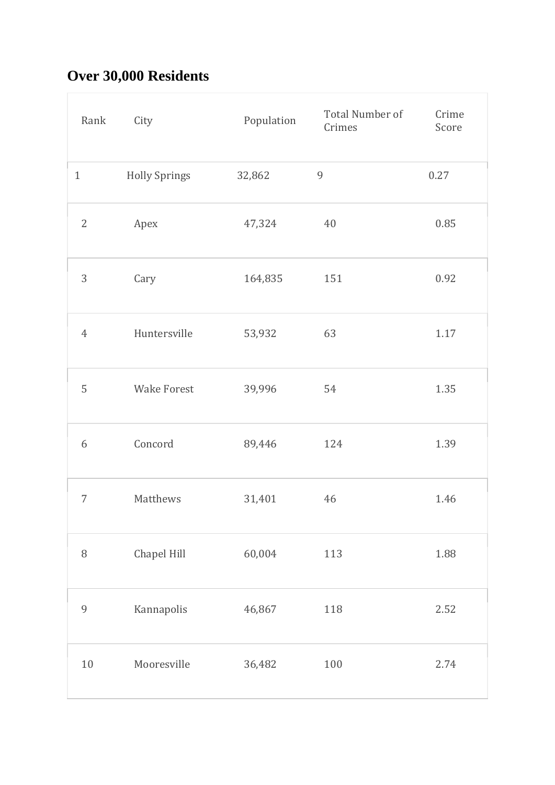# **Over 30,000 Residents**

| Rank           | City                 | Population | Total Number of<br>Crimes | Crime<br>Score |
|----------------|----------------------|------------|---------------------------|----------------|
| $\mathbf{1}$   | <b>Holly Springs</b> | 32,862     | $\overline{9}$            | 0.27           |
| $\mathbf{2}$   | Apex                 | 47,324     | 40                        | 0.85           |
| 3              | Cary                 | 164,835    | 151                       | 0.92           |
| $\overline{4}$ | Huntersville         | 53,932     | 63                        | 1.17           |
| 5              | <b>Wake Forest</b>   | 39,996     | 54                        | 1.35           |
| 6              | Concord              | 89,446     | 124                       | 1.39           |
| 7              | Matthews             | 31,401     | 46                        | 1.46           |
| $\, 8$         | Chapel Hill          | 60,004     | 113                       | 1.88           |
| $\mathfrak{g}$ | Kannapolis           | 46,867     | 118                       | 2.52           |
| 10             | Mooresville          | 36,482     | 100                       | 2.74           |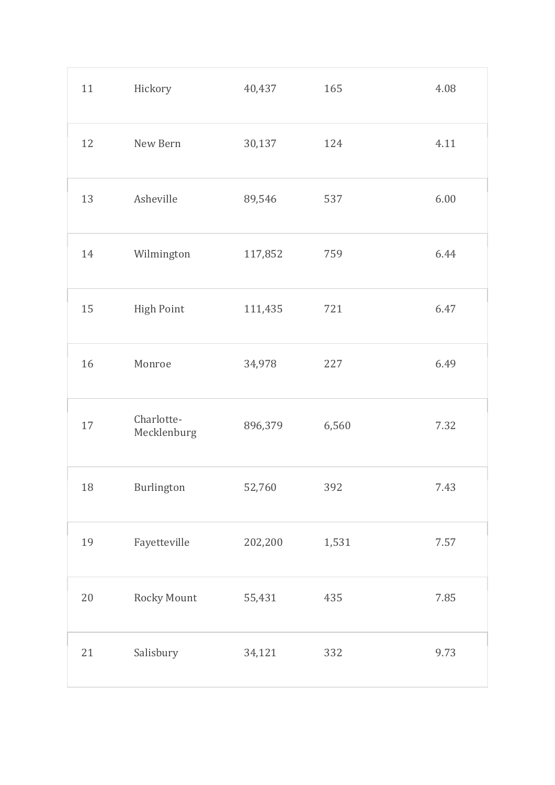| 11 | Hickory                   | 40,437  | 165   | 4.08 |
|----|---------------------------|---------|-------|------|
| 12 | New Bern                  | 30,137  | 124   | 4.11 |
| 13 | Asheville                 | 89,546  | 537   | 6.00 |
| 14 | Wilmington                | 117,852 | 759   | 6.44 |
| 15 | <b>High Point</b>         | 111,435 | 721   | 6.47 |
| 16 | Monroe                    | 34,978  | 227   | 6.49 |
| 17 | Charlotte-<br>Mecklenburg | 896,379 | 6,560 | 7.32 |
| 18 | Burlington                | 52,760  | 392   | 7.43 |
| 19 | Fayetteville              | 202,200 | 1,531 | 7.57 |
| 20 | Rocky Mount               | 55,431  | 435   | 7.85 |
| 21 | Salisbury                 | 34,121  | 332   | 9.73 |